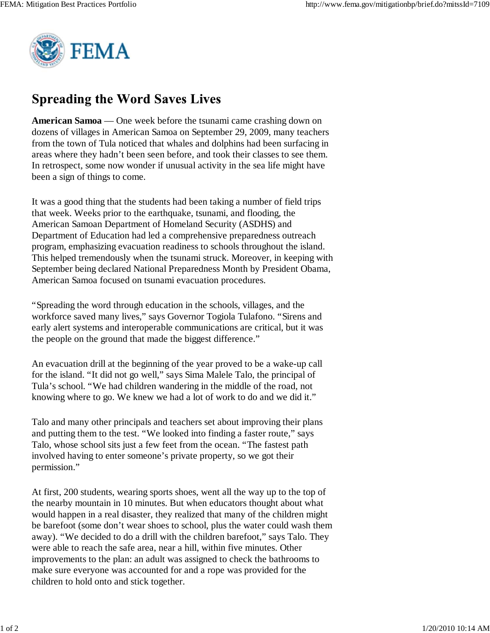

## **Spreading the Word Saves Lives**

**American Samoa** — One week before the tsunami came crashing down on dozens of villages in American Samoa on September 29, 2009, many teachers from the town of Tula noticed that whales and dolphins had been surfacing in areas where they hadn't been seen before, and took their classes to see them. In retrospect, some now wonder if unusual activity in the sea life might have been a sign of things to come.

It was a good thing that the students had been taking a number of field trips that week. Weeks prior to the earthquake, tsunami, and flooding, the American Samoan Department of Homeland Security (ASDHS) and Department of Education had led a comprehensive preparedness outreach program, emphasizing evacuation readiness to schools throughout the island. This helped tremendously when the tsunami struck. Moreover, in keeping with September being declared National Preparedness Month by President Obama, American Samoa focused on tsunami evacuation procedures.

"Spreading the word through education in the schools, villages, and the workforce saved many lives," says Governor Togiola Tulafono. "Sirens and early alert systems and interoperable communications are critical, but it was the people on the ground that made the biggest difference."

An evacuation drill at the beginning of the year proved to be a wake-up call for the island. "It did not go well," says Sima Malele Talo, the principal of Tula's school. "We had children wandering in the middle of the road, not knowing where to go. We knew we had a lot of work to do and we did it."

Talo and many other principals and teachers set about improving their plans and putting them to the test. "We looked into finding a faster route," says Talo, whose school sits just a few feet from the ocean. "The fastest path involved having to enter someone's private property, so we got their permission."

At first, 200 students, wearing sports shoes, went all the way up to the top of the nearby mountain in 10 minutes. But when educators thought about what would happen in a real disaster, they realized that many of the children might be barefoot (some don't wear shoes to school, plus the water could wash them away). "We decided to do a drill with the children barefoot," says Talo. They were able to reach the safe area, near a hill, within five minutes. Other improvements to the plan: an adult was assigned to check the bathrooms to make sure everyone was accounted for and a rope was provided for the children to hold onto and stick together.